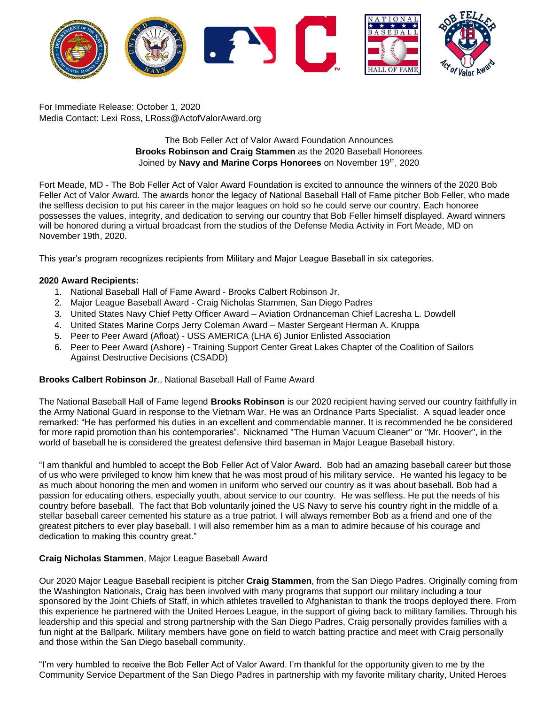

For Immediate Release: October 1, 2020 Media Contact: Lexi Ross, LRoss@ActofValorAward.org

# The Bob Feller Act of Valor Award Foundation Announces **Brooks Robinson and Craig Stammen** as the 2020 Baseball Honorees Joined by **Navy and Marine Corps Honorees** on November 19<sup>th</sup>, 2020

Fort Meade, MD - The [Bob Feller Act of Valor Award Foundation is](http://www.actofvaloraward.org/) excited to announce the winners of the 2020 Bob Feller Act of Valor Award. The awards honor the legacy of National Baseball Hall of Fame pitcher Bob Feller, who made the selfless decision to put his career in the major leagues on hold so he could serve our country. Each honoree possesses the values, integrity, and dedication to serving our country that Bob Feller himself displayed. Award winners will be honored during a virtual broadcast from the studios of the Defense Media Activity in Fort Meade, MD on November 19th, 2020.

This year's program recognizes recipients from Military and Major League Baseball in six categories.

## **2020 Award Recipients:**

- 1. National Baseball Hall of Fame Award Brooks Calbert Robinson Jr.
- 2. Major League Baseball Award Craig Nicholas Stammen, San Diego Padres
- 3. United States Navy Chief Petty Officer Award Aviation Ordnanceman Chief Lacresha L. Dowdell
- 4. United States Marine Corps Jerry Coleman Award Master Sergeant Herman A. Kruppa
- 5. Peer to Peer Award (Afloat) USS AMERICA (LHA 6) Junior Enlisted Association
- 6. Peer to Peer Award (Ashore) Training Support Center Great Lakes Chapter of the Coalition of Sailors Against Destructive Decisions (CSADD)

## **Brooks Calbert Robinson Jr**., National Baseball Hall of Fame Award

The National Baseball Hall of Fame legend **Brooks Robinson** is our 2020 recipient having served our country faithfully in the Army National Guard in response to the Vietnam War. He was an Ordnance Parts Specialist. A squad leader once remarked: "He has performed his duties in an excellent and commendable manner. It is recommended he be considered for more rapid promotion than his contemporaries". Nicknamed "The Human Vacuum Cleaner" or "Mr. Hoover", in the world of baseball he is considered the greatest defensive third baseman in Major League Baseball history.

"I am thankful and humbled to accept the Bob Feller Act of Valor Award. Bob had an amazing baseball career but those of us who were privileged to know him knew that he was most proud of his military service. He wanted his legacy to be as much about honoring the men and women in uniform who served our country as it was about baseball. Bob had a passion for educating others, especially youth, about service to our country. He was selfless. He put the needs of his country before baseball. The fact that Bob voluntarily joined the US Navy to serve his country right in the middle of a stellar baseball career cemented his stature as a true patriot. I will always remember Bob as a friend and one of the greatest pitchers to ever play baseball. I will also remember him as a man to admire because of his courage and dedication to making this country great."

## **Craig Nicholas Stammen**, Major League Baseball Award

Our 2020 Major League Baseball recipient is pitcher **Craig Stammen**, from the San Diego Padres. Originally coming from the Washington Nationals, Craig has been involved with many programs that support our military including a tour sponsored by the Joint Chiefs of Staff, in which athletes travelled to Afghanistan to thank the troops deployed there. From this experience he partnered with the United Heroes League, in the support of giving back to military families. Through his leadership and this special and strong partnership with the San Diego Padres, Craig personally provides families with a fun night at the Ballpark. Military members have gone on field to watch batting practice and meet with Craig personally and those within the San Diego baseball community.

"I'm very humbled to receive the Bob Feller Act of Valor Award. I'm thankful for the opportunity given to me by the Community Service Department of the San Diego Padres in partnership with my favorite military charity, United Heroes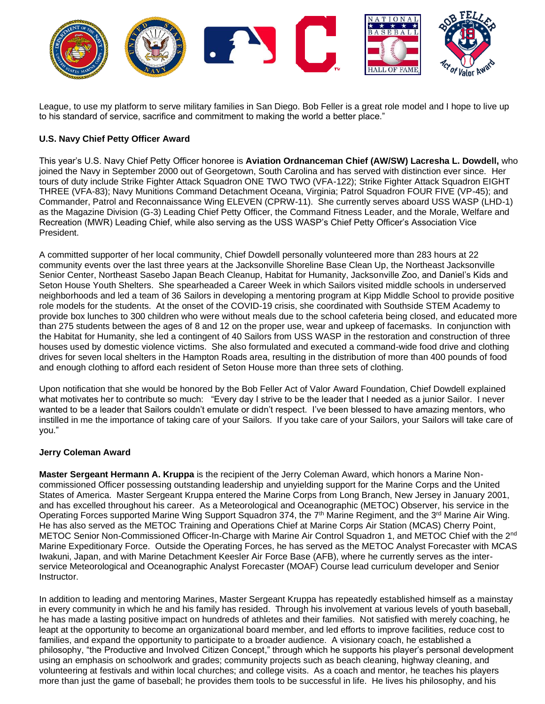

League, to use my platform to serve military families in San Diego. Bob Feller is a great role model and I hope to live up to his standard of service, sacrifice and commitment to making the world a better place."

# **U.S. Navy Chief Petty Officer Award**

This year's U.S. Navy Chief Petty Officer honoree is **Aviation Ordnanceman Chief (AW/SW) Lacresha L. Dowdell,** who joined the Navy in September 2000 out of Georgetown, South Carolina and has served with distinction ever since. Her tours of duty include Strike Fighter Attack Squadron ONE TWO TWO (VFA-122); Strike Fighter Attack Squadron EIGHT THREE (VFA-83); Navy Munitions Command Detachment Oceana, Virginia; Patrol Squadron FOUR FIVE (VP-45); and Commander, Patrol and Reconnaissance Wing ELEVEN (CPRW-11). She currently serves aboard USS WASP (LHD-1) as the Magazine Division (G-3) Leading Chief Petty Officer, the Command Fitness Leader, and the Morale, Welfare and Recreation (MWR) Leading Chief, while also serving as the USS WASP's Chief Petty Officer's Association Vice President.

A committed supporter of her local community, Chief Dowdell personally volunteered more than 283 hours at 22 community events over the last three years at the Jacksonville Shoreline Base Clean Up, the Northeast Jacksonville Senior Center, Northeast Sasebo Japan Beach Cleanup, Habitat for Humanity, Jacksonville Zoo, and Daniel's Kids and Seton House Youth Shelters. She spearheaded a Career Week in which Sailors visited middle schools in underserved neighborhoods and led a team of 36 Sailors in developing a mentoring program at Kipp Middle School to provide positive role models for the students. At the onset of the COVID-19 crisis, she coordinated with Southside STEM Academy to provide box lunches to 300 children who were without meals due to the school cafeteria being closed, and educated more than 275 students between the ages of 8 and 12 on the proper use, wear and upkeep of facemasks. In conjunction with the Habitat for Humanity, she led a contingent of 40 Sailors from USS WASP in the restoration and construction of three houses used by domestic violence victims. She also formulated and executed a command-wide food drive and clothing drives for seven local shelters in the Hampton Roads area, resulting in the distribution of more than 400 pounds of food and enough clothing to afford each resident of Seton House more than three sets of clothing.

Upon notification that she would be honored by the Bob Feller Act of Valor Award Foundation, Chief Dowdell explained what motivates her to contribute so much: "Every day I strive to be the leader that I needed as a junior Sailor. I never wanted to be a leader that Sailors couldn't emulate or didn't respect. I've been blessed to have amazing mentors, who instilled in me the importance of taking care of your Sailors. If you take care of your Sailors, your Sailors will take care of you."

## **Jerry Coleman Award**

**Master Sergeant Hermann A. Kruppa** is the recipient of the Jerry Coleman Award, which honors a Marine Noncommissioned Officer possessing outstanding leadership and unyielding support for the Marine Corps and the United States of America. Master Sergeant Kruppa entered the Marine Corps from Long Branch, New Jersey in January 2001, and has excelled throughout his career. As a Meteorological and Oceanographic (METOC) Observer, his service in the Operating Forces supported Marine Wing Support Squadron 374, the 7<sup>th</sup> Marine Regiment, and the 3<sup>rd</sup> Marine Air Wing. He has also served as the METOC Training and Operations Chief at Marine Corps Air Station (MCAS) Cherry Point, METOC Senior Non-Commissioned Officer-In-Charge with Marine Air Control Squadron 1, and METOC Chief with the 2<sup>nd</sup> Marine Expeditionary Force. Outside the Operating Forces, he has served as the METOC Analyst Forecaster with MCAS Iwakuni, Japan, and with Marine Detachment Keesler Air Force Base (AFB), where he currently serves as the interservice Meteorological and Oceanographic Analyst Forecaster (MOAF) Course lead curriculum developer and Senior Instructor.

In addition to leading and mentoring Marines, Master Sergeant Kruppa has repeatedly established himself as a mainstay in every community in which he and his family has resided. Through his involvement at various levels of youth baseball, he has made a lasting positive impact on hundreds of athletes and their families. Not satisfied with merely coaching, he leapt at the opportunity to become an organizational board member, and led efforts to improve facilities, reduce cost to families, and expand the opportunity to participate to a broader audience. A visionary coach, he established a philosophy, "the Productive and Involved Citizen Concept," through which he supports his player's personal development using an emphasis on schoolwork and grades; community projects such as beach cleaning, highway cleaning, and volunteering at festivals and within local churches; and college visits. As a coach and mentor, he teaches his players more than just the game of baseball; he provides them tools to be successful in life. He lives his philosophy, and his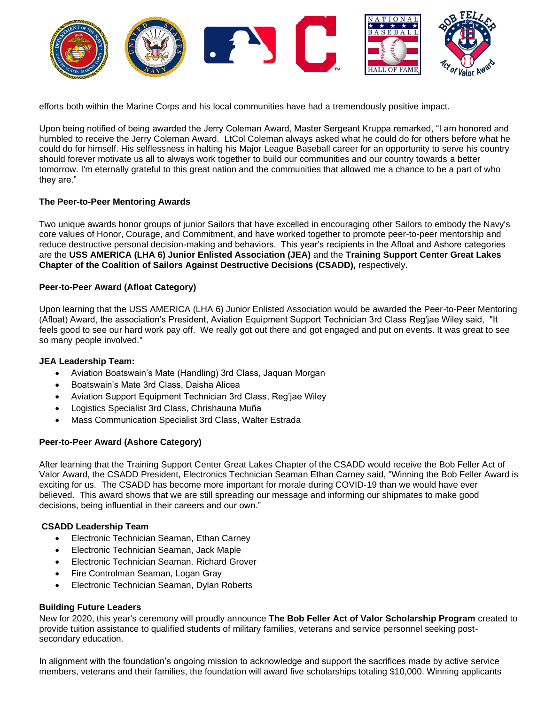

efforts both within the Marine Corps and his local communities have had a tremendously positive impact.

Upon being notified of being awarded the Jerry Coleman Award, Master Sergeant Kruppa remarked, "I am honored and humbled to receive the Jerry Coleman Award. LtCol Coleman always asked what he could do for others before what he could do for himself. His selflessness in halting his Major League Baseball career for an opportunity to serve his country should forever motivate us all to always work together to build our communities and our country towards a better tomorrow. I'm eternally grateful to this great nation and the communities that allowed me a chance to be a part of who they are."

#### **The Peer-to-Peer Mentoring Awards**

Two unique awards honor groups of junior Sailors that have excelled in encouraging other Sailors to embody the Navy's core values of Honor, Courage, and Commitment, and have worked together to promote peer-to-peer mentorship and reduce destructive personal decision-making and behaviors. This year's recipients in the Afloat and Ashore categories are the **USS AMERICA (LHA 6) Junior Enlisted Association (JEA)** and the **Training Support Center Great Lakes Chapter of the Coalition of Sailors Against Destructive Decisions (CSADD),** respectively.

#### **Peer-to-Peer Award (Afloat Category)**

Upon learning that the USS AMERICA (LHA 6) Junior Enlisted Association would be awarded the Peer-to-Peer Mentoring (Afloat) Award, the association's President, Aviation Equipment Support Technician 3rd Class Reg'jae Wiley said, "It feels good to see our hard work pay off. We really got out there and got engaged and put on events. It was great to see so many people involved."

#### **JEA Leadership Team:**

- Aviation Boatswain's Mate (Handling) 3rd Class, Jaquan Morgan
- Boatswain's Mate 3rd Class, Daisha Alicea
- Aviation Support Equipment Technician 3rd Class, Reg'jae Wiley
- Logistics Specialist 3rd Class, Chrishauna Muña
- Mass Communication Specialist 3rd Class, Walter Estrada

## **Peer-to-Peer Award (Ashore Category)**

After learning that the Training Support Center Great Lakes Chapter of the CSADD would receive the Bob Feller Act of Valor Award, the CSADD President, Electronics Technician Seaman Ethan Carney said, "Winning the Bob Feller Award is exciting for us. The CSADD has become more important for morale during COVID-19 than we would have ever believed. This award shows that we are still spreading our message and informing our shipmates to make good decisions, being influential in their careers and our own."

## **CSADD Leadership Team**

- Electronic Technician Seaman, Ethan Carney
- Electronic Technician Seaman, Jack Maple
- Electronic Technician Seaman. Richard Grover
- Fire Controlman Seaman, Logan Gray
- Electronic Technician Seaman, Dylan Roberts

## **Building Future Leaders**

New for 2020, this year's ceremony will proudly announce **The Bob Feller Act of Valor Scholarship Program** created to provide tuition assistance to qualified students of military families, veterans and service personnel seeking postsecondary education.

In alignment with the foundation's ongoing mission to acknowledge and support the sacrifices made by active service members, veterans and their families, the foundation will award five scholarships totaling \$10,000. Winning applicants